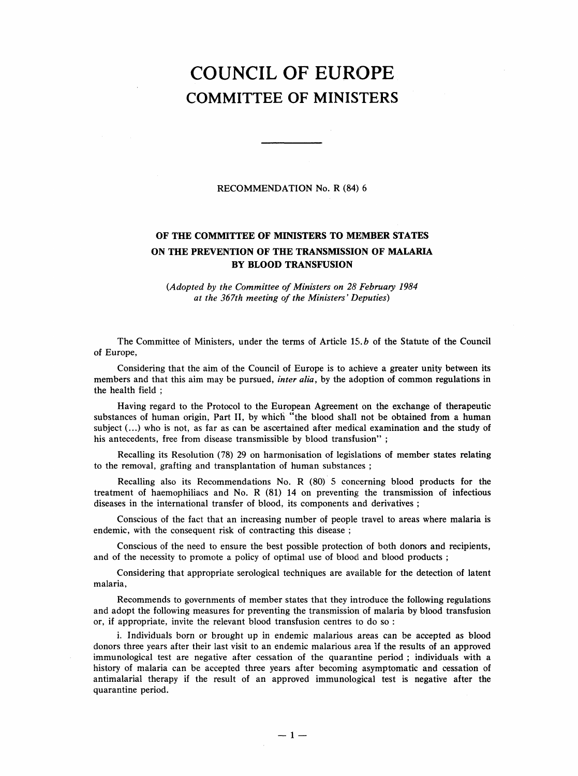## COUNCIL OF EUROPE COMMITTEE OF MINISTERS

## RECOMMENDATION No. R (84) 6

## OF THE COMMITTEE OF MINISTERS TO MEMBER STATES ON THE PREVENTION OF THE TRANSMISSION OF MALARIA BY BLOOD TRANSFUSION

(Adopted by the Committee of Ministers on 28 February 1984 at the 367th meeting of the Ministers' Deputies)

The Committee of Ministers, under the terms of Article 15. b of the Statute of the Council of Europe,

Considering that the aim of the Council of Europe is to achieve a greater unity between its members and that this aim may be pursued, *inter alia*, by the adoption of common regulations in the health field;

Having regard to the Protocol to the European Agreement on the exchange of therapeutic substances of human origin, Part II, by which "the blood shall not be obtained from a human subject (...) who is not, as far as can be ascertained after medical examination and the study of his antecedents, free from disease transmissible by blood transfusion";

Recalling its Resolution (78) 29 on harmonisation of legislations of member states relating to the removal, grafting and transplantation of human substances;

Recalling also its Recommendations No. R (80) 5 concerning blood products for the treatment of haemophiliacs and No. R (81) 14 on preventing the transmission of infectious diseases in the international transfer of blood, its components and derivatives;

Conscious of the fact that an increasing number of people travel to areas where malaria is endemic, with the consequent risk of contracting this disease;

Conscious of the need to ensure the best possible protection of both donors and recipients, and of the necessity to promote a policy of optimal use of blood and blood products;

Considering that appropriate serological techniques are available for the detection of latent malaria,

Recommends to governments of member states that they introduce the following regulations and adopt the following measures for preventing the transmission of malaria by blood transfusion or, if appropriate, invite the relevant blood transfusion centres to do so:

i. Individuals born or brought up in endemic malarious areas can be accepted as blood donors three years after their last visit to an endemic malarious area if the results of an approved immunological test are negative after cessation of the quarantine period; individuals with a history of malaria can be accepted three years after becoming asymptomatic and cessation of antimalarial therapy if the result of an approved immunological test is negative after the quarantine period.

 $-1-$